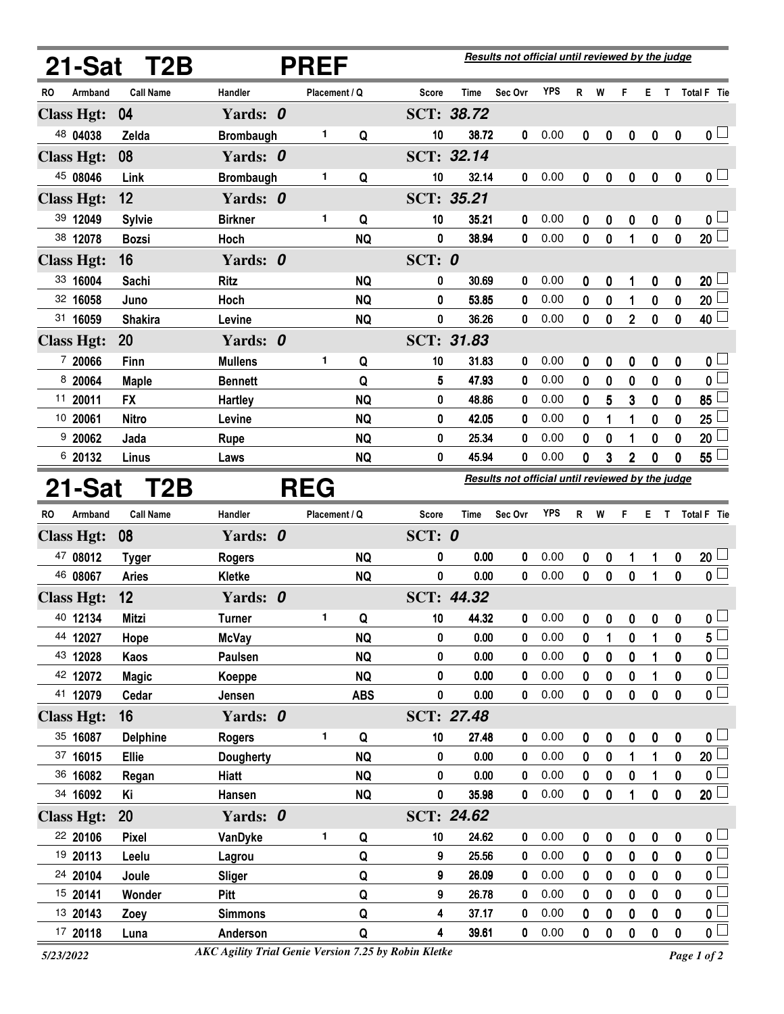|                            | 21-Sat T2B       | <b>PREF</b>                |               |            |                                                  |                | Results not official until reviewed by the judge |              |              |          |                   |                  |                  |                                           |  |
|----------------------------|------------------|----------------------------|---------------|------------|--------------------------------------------------|----------------|--------------------------------------------------|--------------|--------------|----------|-------------------|------------------|------------------|-------------------------------------------|--|
| Armband<br>RO              | <b>Call Name</b> | Handler                    | Placement / Q |            | <b>Score</b>                                     | Time           | Sec Ovr                                          | <b>YPS</b>   | R            | W        | F                 | Е                | T                | <b>Total F</b> Tie                        |  |
| <b>Class Hgt:</b>          | 04               | Yards: 0                   |               |            |                                                  | SCT: 38.72     |                                                  |              |              |          |                   |                  |                  |                                           |  |
| 48 04038                   | Zelda            | <b>Brombaugh</b>           | 1             | Q          | 10                                               | 38.72          | 0                                                | 0.00         | 0            | 0        | 0                 | $\boldsymbol{0}$ | $\boldsymbol{0}$ | $\mathbf{0}$ $\Box$                       |  |
| <b>Class Hgt:</b>          | 08               | Yards: 0                   |               |            |                                                  | SCT: 32.14     |                                                  |              |              |          |                   |                  |                  |                                           |  |
| 45 08046                   | Link             | <b>Brombaugh</b>           | 1             | Q          | 10                                               | 32.14          | 0                                                | 0.00         | 0            | 0        | 0                 | 0                | $\boldsymbol{0}$ | 0 <sub>1</sub>                            |  |
| <b>Class Hgt:</b>          | 12               | Yards: 0                   |               |            |                                                  | SCT: 35.21     |                                                  |              |              |          |                   |                  |                  |                                           |  |
| 39 12049                   | <b>Sylvie</b>    | <b>Birkner</b>             | 1             | Q          | 10                                               | 35.21          | 0                                                | 0.00         | 0            | 0        | 0                 | 0                | $\boldsymbol{0}$ | 0 <sub>1</sub>                            |  |
| 38 12078                   | <b>Bozsi</b>     | Hoch                       |               | <b>NQ</b>  | 0                                                | 38.94          | 0                                                | 0.00         | 0            | 0        | 1                 | 0                | 0                | 20 <sup>2</sup>                           |  |
| <b>Class Hgt:</b>          | 16               | Yards: 0                   |               |            | SCT: 0                                           |                |                                                  |              |              |          |                   |                  |                  |                                           |  |
| 33 16004                   | Sachi            | Ritz                       |               | <b>NQ</b>  | 0                                                | 30.69          | 0                                                | 0.00         | 0            | 0        | 1                 | 0                | 0                | 20 <sup>1</sup>                           |  |
| 32 16058                   | Juno             | Hoch                       |               | <b>NQ</b>  | 0                                                | 53.85          | 0                                                | 0.00         | 0            | 0        | 1                 | 0                | 0                | $20\perp$                                 |  |
| 31 16059                   | <b>Shakira</b>   | Levine                     |               | <b>NQ</b>  | 0                                                | 36.26          | 0                                                | 0.00         | 0            | 0        | $\mathbf 2$       | 0                | 0                | $40$ $\Box$                               |  |
| <b>Class Hgt:</b>          | 20               | Yards: 0                   |               |            |                                                  | SCT: 31.83     |                                                  |              |              |          |                   |                  |                  |                                           |  |
| 7 20066                    | Finn             | <b>Mullens</b>             | 1             | Q          | 10                                               | 31.83          | 0                                                | 0.00         | 0            | 0        | 0                 | 0                | 0                | 0 L                                       |  |
| 8 20064                    | <b>Maple</b>     | <b>Bennett</b>             |               | Q          | 5                                                | 47.93          | 0                                                | 0.00         | 0            | 0        | 0                 | 0                | 0                | 0 <sup>1</sup>                            |  |
| 11 20011                   | <b>FX</b>        | <b>Hartley</b>             |               | <b>NQ</b>  | 0                                                | 48.86          | 0                                                | 0.00         | 0            | 5        | 3                 | 0                | 0                | 85                                        |  |
| 10 20061                   | <b>Nitro</b>     | Levine                     |               | <b>NQ</b>  | 0                                                | 42.05          | 0                                                | 0.00         | 0            | 1        | 1                 | 0                | 0                | 25                                        |  |
| 920062                     | Jada             | <b>Rupe</b>                |               | <b>NQ</b>  | 0                                                | 25.34          | 0                                                | 0.00         | 0            | 0        | 1                 | 0                | 0                | 20 <sub>2</sub>                           |  |
| 6 20132                    | Linus            | Laws                       |               | <b>NQ</b>  | 0                                                | 45.94          | 0                                                | 0.00         | 0            | 3        | $\mathbf{2}$      | 0                | 0                | 55                                        |  |
| 21-Sat<br>T <sub>2</sub> B |                  | <b>REG</b>                 |               |            | Results not official until reviewed by the judge |                |                                                  |              |              |          |                   |                  |                  |                                           |  |
| RO<br>Armband              | <b>Call Name</b> |                            |               |            |                                                  |                |                                                  |              |              |          |                   |                  |                  |                                           |  |
|                            |                  | Handler                    | Placement / Q |            | <b>Score</b>                                     | <b>Time</b>    | Sec Ovr                                          | <b>YPS</b>   | R            | W        | F                 | Е                | T                | <b>Total F</b> Tie                        |  |
| <b>Class Hgt:</b>          | 08               | Yards: 0                   |               |            | SCT: $0$                                         |                |                                                  |              |              |          |                   |                  |                  |                                           |  |
| 47 08012                   | <b>Tyger</b>     | <b>Rogers</b>              |               | <b>NQ</b>  | 0                                                | 0.00           | 0                                                | 0.00         | 0            | 0        | 1                 | 1                | $\mathbf 0$      | 20 <sup>1</sup>                           |  |
| 46 08067                   | <b>Aries</b>     | Kletke                     |               | <b>NQ</b>  | 0                                                | 0.00           | 0                                                | 0.00         | 0            | 0        | $\mathbf 0$       | 1                | 0                | $\mathfrak{o} \sqsubset$                  |  |
| <b>Class Hgt:</b>          | 12               | Yards: 0                   |               |            |                                                  | SCT: 44.32     |                                                  |              |              |          |                   |                  |                  |                                           |  |
| 40 12134                   | Mitzi            | <b>Turner</b>              | 1             | Q          | 10                                               | 44.32          | 0                                                | 0.00         | $\mathbf{0}$ |          | $0\quad 0\quad 0$ |                  | $\mathbf{0}$     | $0\perp$                                  |  |
| 44 12027                   | Hope             | <b>McVay</b>               |               | <b>NQ</b>  | 0                                                | 0.00           | 0                                                | 0.00         | 0            | 1        | 0                 | 1                | 0                | $5^{\perp}$                               |  |
| 43 12028                   | Kaos             | Paulsen                    |               | <b>NQ</b>  | 0                                                | 0.00           | 0                                                | 0.00         | 0            | 0        | 0                 | 1                | 0                | 0 <sup>1</sup>                            |  |
| 42 12072                   | <b>Magic</b>     | Koeppe                     |               | <b>NQ</b>  | 0                                                | 0.00           | 0                                                | 0.00         | 0            | 0        | $\pmb{0}$         | 1                | 0                | 0 <sub>0</sub>                            |  |
| 41 12079                   | Cedar            | Jensen                     |               | <b>ABS</b> | 0                                                | 0.00           | 0                                                | 0.00         | 0            | 0        | 0                 | 0                | 0                | $\overline{\mathbf{0}}$                   |  |
| <b>Class Hgt:</b>          | 16               | Yards: 0                   |               |            |                                                  | SCT: 27.48     |                                                  |              |              |          |                   |                  |                  |                                           |  |
| 35 16087                   | <b>Delphine</b>  | <b>Rogers</b>              | 1             | Q          | 10                                               | 27.48          | 0                                                | 0.00         | 0            | 0        | 0                 | $\pmb{0}$        | $\mathbf 0$      | $0\perp$                                  |  |
| 37 16015                   | <b>Ellie</b>     | <b>Dougherty</b>           |               | <b>NQ</b>  | 0                                                | 0.00           | 0                                                | 0.00         | 0            | 0        | 1                 | 1                | 0                | 20 <sup>1</sup>                           |  |
| 36 16082                   | Regan            | Hiatt                      |               | <b>NQ</b>  | 0                                                | 0.00           | 0                                                | 0.00         | 0            | 0        | 0                 | 1                | 0                | 0 <sub>1</sub>                            |  |
| 34 16092                   | Κi               | Hansen                     |               | <b>NQ</b>  | 0                                                | 35.98          | 0                                                | 0.00         | 0            | 0        | 1                 | $\pmb{0}$        | $\boldsymbol{0}$ | 20                                        |  |
| <b>Class Hgt:</b>          | 20               | Yards: 0                   |               |            |                                                  | SCT: 24.62     |                                                  |              |              |          |                   |                  |                  |                                           |  |
| 22 20106                   | <b>Pixel</b>     | VanDyke                    | 1             | Q          | 10                                               | 24.62          | 0                                                | 0.00         | 0            | 0        | 0                 | $\pmb{0}$        | $\boldsymbol{0}$ | 0 <sub>1</sub>                            |  |
| 19 20113                   | Leelu            | Lagrou                     |               | Q          | 9                                                | 25.56          | 0                                                | 0.00         | 0            | 0        | 0                 | 0                | 0                | $\overline{\mathbf{0}}$                   |  |
| 24 20104                   | Joule            | Sliger                     |               | Q          | 9                                                | 26.09          | 0                                                | 0.00         | 0            | $\bf{0}$ | 0                 | 0                | 0                | 0 L                                       |  |
| 15 20141                   | Wonder           | Pitt                       |               | Q          | 9                                                | 26.78          | 0                                                | 0.00         | 0            | 0        | 0                 | 0                | 0                | 0 <sup>1</sup>                            |  |
| 13 20143<br>17 20118       | Zoey<br>Luna     | <b>Simmons</b><br>Anderson |               | Q<br>Q     | 4<br>4                                           | 37.17<br>39.61 | 0<br>0                                           | 0.00<br>0.00 | 0<br>0       | 0<br>0   | 0<br>0            | 0<br>0           | 0<br>0           | 0 <sub>1</sub><br>$\overline{\mathbf{0}}$ |  |